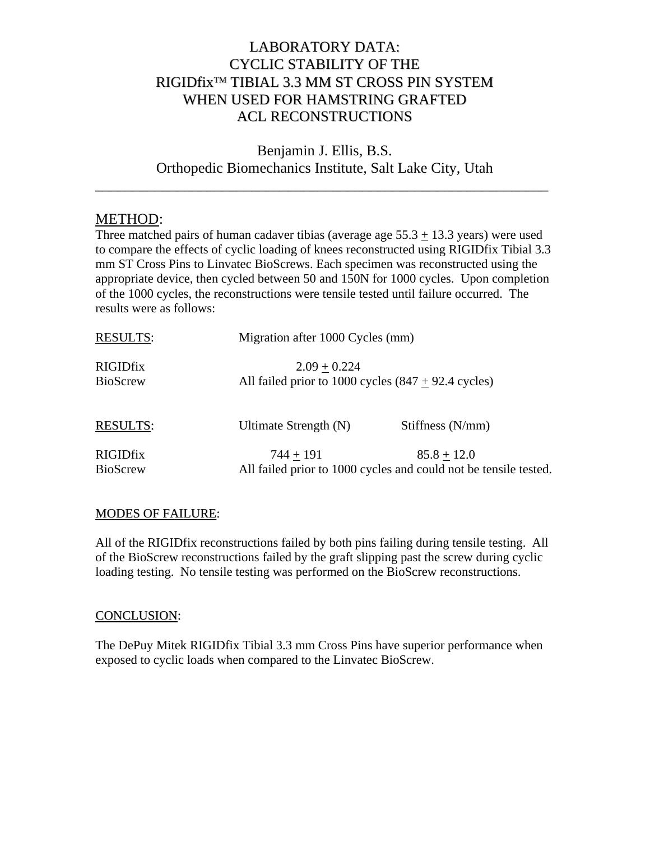## LABORATORY DATA: CYCLIC STABILITY OF THE RIGIDfix™ TIBIAL 3.3 MM ST CROSS PIN SYSTEM WHEN USED FOR HAMSTRING GRAFTED ACL RECONSTRUCTIONS

Benjamin J. Ellis, B.S. Orthopedic Biomechanics Institute, Salt Lake City, Utah

\_\_\_\_\_\_\_\_\_\_\_\_\_\_\_\_\_\_\_\_\_\_\_\_\_\_\_\_\_\_\_\_\_\_\_\_\_\_\_\_\_\_\_\_\_\_\_\_\_\_\_\_\_\_\_\_\_\_\_\_\_

## METHOD:

Three matched pairs of human cadaver tibias (average age  $55.3 + 13.3$  years) were used to compare the effects of cyclic loading of knees reconstructed using RIGIDfix Tibial 3.3 mm ST Cross Pins to Linvatec BioScrews. Each specimen was reconstructed using the appropriate device, then cycled between 50 and 150N for 1000 cycles. Upon completion of the 1000 cycles, the reconstructions were tensile tested until failure occurred. The results were as follows:

| <b>RESULTS:</b>                    | Migration after 1000 Cycles (mm)                                                |                  |
|------------------------------------|---------------------------------------------------------------------------------|------------------|
| <b>RIGIDfix</b><br><b>BioScrew</b> | $2.09 + 0.224$<br>All failed prior to 1000 cycles $(847 + 92.4$ cycles)         |                  |
| <b>RESULTS:</b>                    | Ultimate Strength (N)                                                           | Stiffness (N/mm) |
| <b>RIGIDfix</b><br><b>BioScrew</b> | $744 + 191$<br>All failed prior to 1000 cycles and could not be tensile tested. | $85.8 + 12.0$    |

## **MODES OF FAILURE:**

All of the RIGIDfix reconstructions failed by both pins failing during tensile testing. All of the BioScrew reconstructions failed by the graft slipping past the screw during cyclic loading testing. No tensile testing was performed on the BioScrew reconstructions.

## CONCLUSION:

The DePuy Mitek RIGIDfix Tibial 3.3 mm Cross Pins have superior performance when exposed to cyclic loads when compared to the Linvatec BioScrew.